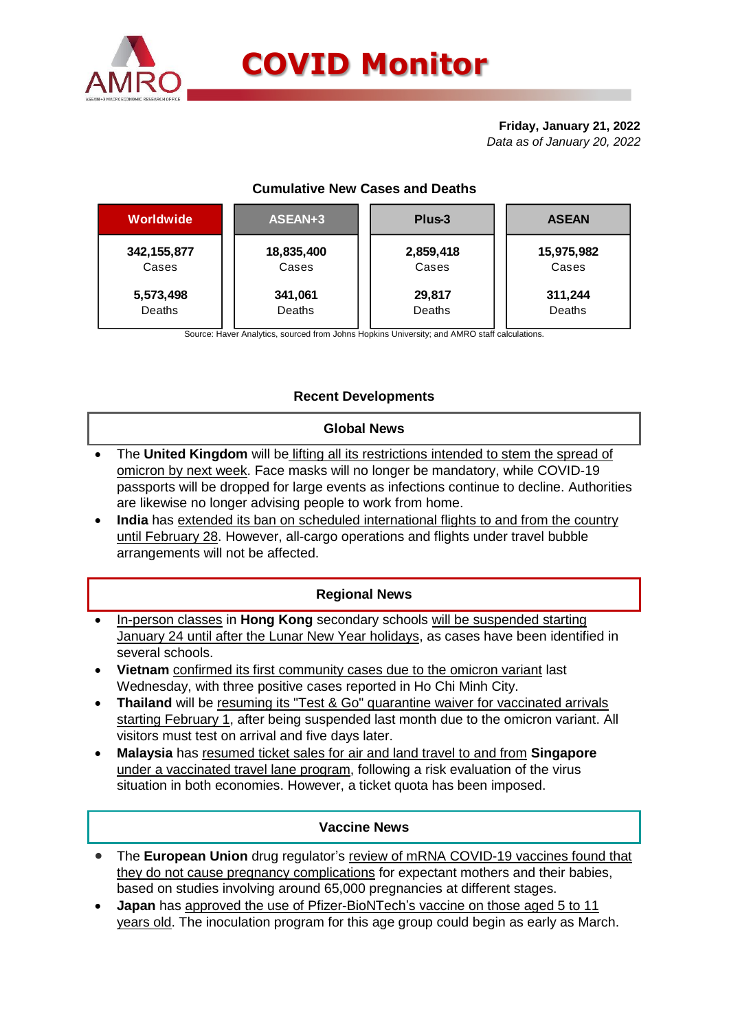

# **Friday, January 21, 2022** *Data as of January 20, 2022*

# **Cumulative New Cases and Deaths**

| Worldwide     | ASEAN+3    | Plus-3    | <b>ASEAN</b> |  |  |
|---------------|------------|-----------|--------------|--|--|
| 342, 155, 877 | 18,835,400 | 2,859,418 | 15,975,982   |  |  |
| Cases         | Cases      | Cases     | Cases        |  |  |
| 5,573,498     | 341,061    | 29,817    | 311,244      |  |  |
| Deaths        | Deaths     | Deaths    | Deaths       |  |  |

Source: Haver Analytics, sourced from Johns Hopkins University; and AMRO staff calculations.

# **Recent Developments**

# **Global News**

- The **United Kingdom** will be lifting all its restrictions intended to stem the spread of omicron by next week. Face masks will no longer be mandatory, while COVID-19 passports will be dropped for large events as infections continue to decline. Authorities are likewise no longer advising people to work from home.
- **India** has extended its ban on scheduled international flights to and from the country until February 28. However, all-cargo operations and flights under travel bubble arrangements will not be affected.

# **Regional News**

- In-person classes in **Hong Kong** secondary schools will be suspended starting January 24 until after the Lunar New Year holidays, as cases have been identified in several schools.
- **Vietnam** confirmed its first community cases due to the omicron variant last Wednesday, with three positive cases reported in Ho Chi Minh City.
- **Thailand** will be resuming its "Test & Go" quarantine waiver for vaccinated arrivals starting February 1, after being suspended last month due to the omicron variant. All visitors must test on arrival and five days later.
- **Malaysia** has resumed ticket sales for air and land travel to and from **Singapore**  under a vaccinated travel lane program, following a risk evaluation of the virus situation in both economies. However, a ticket quota has been imposed.

### **Vaccine News**

- The **European Union** drug regulator's review of mRNA COVID-19 vaccines found that they do not cause pregnancy complications for expectant mothers and their babies, based on studies involving around 65,000 pregnancies at different stages.
- **Japan** has approved the use of Pfizer-BioNTech's vaccine on those aged 5 to 11 years old. The inoculation program for this age group could begin as early as March.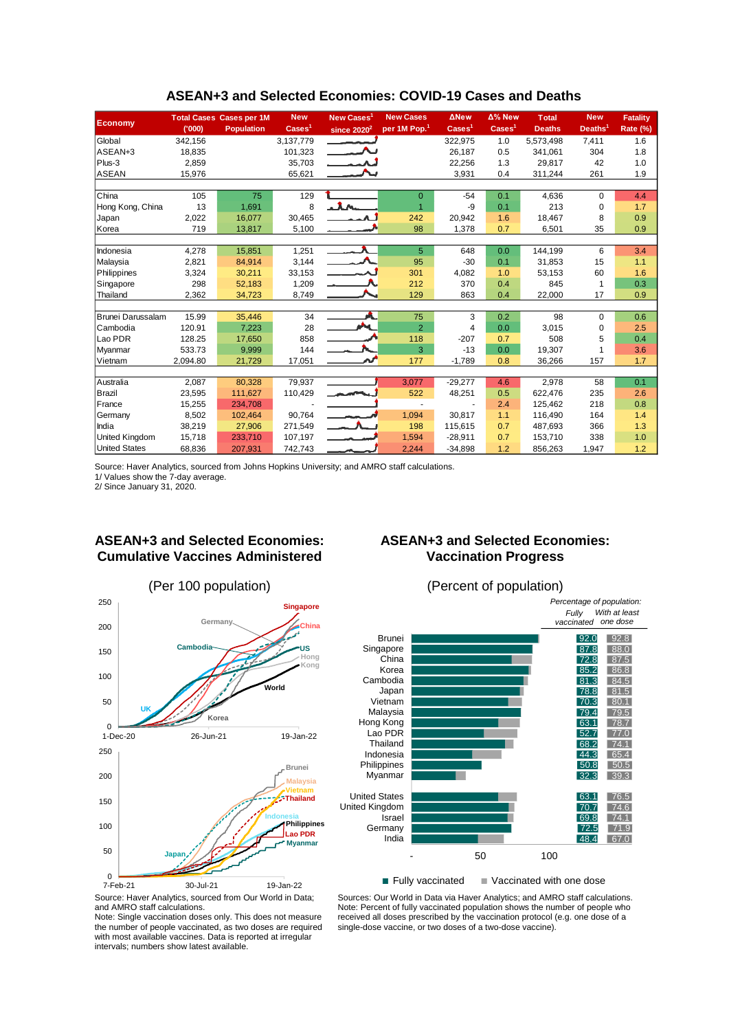|                       |          | <b>Total Cases Cases per 1M</b> | <b>New</b>               | New Cases <sup>1</sup>   | <b>New Cases</b>         | <b>ANew</b>              | Δ% New                   | <b>Total</b>  | <b>New</b>          | <b>Fatality</b> |
|-----------------------|----------|---------------------------------|--------------------------|--------------------------|--------------------------|--------------------------|--------------------------|---------------|---------------------|-----------------|
| <b>Economy</b>        | (000)    | <b>Population</b>               | $\text{Case} \text{s}^1$ | since $2020^2$           | per 1M Pop. <sup>1</sup> | $\text{Case} \text{s}^1$ | $\text{Case} \text{s}^1$ | <b>Deaths</b> | Deaths <sup>1</sup> | <b>Rate (%)</b> |
| Global                | 342,156  |                                 | 3,137,779                |                          |                          | 322,975                  | 1.0                      | 5,573,498     | 7,411               | 1.6             |
| ASEAN+3               | 18,835   |                                 | 101,323                  |                          |                          | 26,187                   | 0.5                      | 341.061       | 304                 | 1.8             |
| Plus-3                | 2,859    |                                 | 35,703                   |                          |                          | 22,256                   | 1.3                      | 29,817        | 42                  | 1.0             |
| <b>ASEAN</b>          | 15,976   |                                 | 65,621                   |                          |                          | 3,931                    | 0.4                      | 311,244       | 261                 | 1.9             |
|                       |          |                                 |                          |                          |                          |                          |                          |               |                     |                 |
| China                 | 105      | 75                              | 129                      |                          | $\Omega$                 | $-54$                    | 0.1                      | 4,636         | $\Omega$            | 4.4             |
| Hong Kong, China      | 13       | 1,691                           | 8                        |                          |                          | -9                       | 0.1                      | 213           | $\mathbf 0$         | 1.7             |
| Japan                 | 2,022    | 16.077                          | 30,465                   |                          | 242                      | 20,942                   | 1.6                      | 18,467        | 8                   | 0.9             |
| Korea                 | 719      | 13,817                          | 5,100                    |                          | 98                       | 1,378                    | 0.7                      | 6,501         | 35                  | 0.9             |
|                       |          |                                 |                          |                          |                          |                          |                          |               |                     |                 |
| Indonesia             | 4,278    | 15,851                          | 1,251                    | $\overline{\phantom{a}}$ | 5                        | 648                      | 0.0                      | 144,199       | 6                   | 3.4             |
| Malaysia              | 2,821    | 84,914                          | 3,144                    | <b>A</b>                 | 95                       | $-30$                    | 0.1                      | 31,853        | 15                  | 1.1             |
| Philippines           | 3,324    | 30,211                          | 33,153                   |                          | 301                      | 4,082                    | 1.0                      | 53,153        | 60                  | 1.6             |
| Singapore             | 298      | 52,183                          | 1,209                    |                          | 212                      | 370                      | 0.4                      | 845           | 1                   | 0.3             |
| Thailand              | 2,362    | 34,723                          | 8,749                    |                          | 129                      | 863                      | 0.4                      | 22,000        | 17                  | 0.9             |
|                       |          |                                 |                          |                          |                          |                          |                          |               |                     |                 |
| Brunei Darussalam     | 15.99    | 35,446                          | 34                       |                          | 75                       | 3                        | 0.2                      | 98            | $\Omega$            | 0.6             |
| Cambodia              | 120.91   | 7,223                           | 28                       | <b>AND</b>               | $\overline{2}$           | 4                        | 0.0                      | 3,015         | 0                   | 2.5             |
| Lao PDR               | 128.25   | 17,650                          | 858                      |                          | 118                      | $-207$                   | 0.7                      | 508           | 5                   | 0.4             |
| Myanmar               | 533.73   | 9,999                           | 144                      |                          | 3                        | $-13$                    | 0.0                      | 19,307        |                     | 3.6             |
| Vietnam               | 2,094.80 | 21,729                          | 17,051                   |                          | 177                      | $-1,789$                 | 0.8                      | 36,266        | 157                 | 1.7             |
|                       |          |                                 |                          |                          |                          |                          |                          |               |                     |                 |
| Australia             | 2,087    | 80,328                          | 79,937                   |                          | 3,077                    | $-29,277$                | 4.6                      | 2,978         | 58                  | 0.1             |
| Brazil                | 23,595   | 111,627                         | 110,429                  | سياسم والمرتبين          | 522                      | 48,251                   | 0.5                      | 622,476       | 235                 | 2.6             |
| France                | 15,255   | 234.708                         |                          |                          |                          |                          | 2.4                      | 125,462       | 218                 | 0.8             |
| Germany               | 8,502    | 102.464                         | 90,764                   |                          | 1,094                    | 30,817                   | 1.1                      | 116,490       | 164                 | 1.4             |
| India                 | 38,219   | 27,906                          | 271,549                  | $-1$                     | 198                      | 115,615                  | 0.7                      | 487,693       | 366                 | 1.3             |
| <b>United Kingdom</b> | 15,718   | 233,710                         | 107,197                  | $\sim$ $\sim$ $\sim$     | 1,594                    | $-28,911$                | 0.7                      | 153,710       | 338                 | 1.0             |
| <b>United States</b>  | 68,836   | 207,931                         | 742,743                  |                          | 2,244                    | $-34,898$                | 1.2                      | 856,263       | 1,947               | 1.2             |

### **ASEAN+3 and Selected Economies: COVID-19 Cases and Deaths**

Source: Haver Analytics, sourced from Johns Hopkins University; and AMRO staff calculations.

1/ Values show the 7-day average. 2/ Since January 31, 2020.

# **ASEAN+3 and Selected Economies: Cumulative Vaccines Administered**



# **ASEAN+3 and Selected Economies: Vaccination Progress**



 $\blacksquare$  Fully vaccinated  $\blacksquare$  Vaccinated with one dose

Source: Haver Analytics, sourced from Our World in Data; and AMRO staff calculations.

Note: Single vaccination doses only. This does not measure the number of people vaccinated, as two doses are required with most available vaccines. Data is reported at irregular intervals; numbers show latest available.

Sources: Our World in Data via Haver Analytics; and AMRO staff calculations. Note: Percent of fully vaccinated population shows the number of people who received all doses prescribed by the vaccination protocol (e.g. one dose of a single-dose vaccine, or two doses of a two-dose vaccine).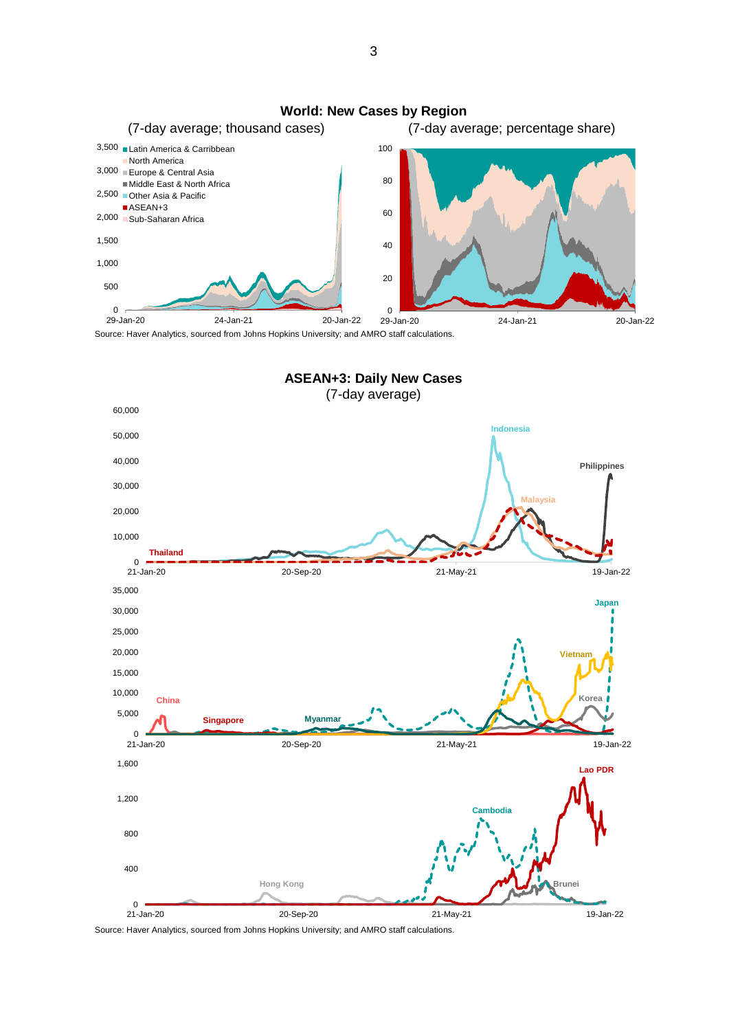

**ASEAN+3: Daily New Cases**

(7-day average)  $0 - 20$ <br>21-Jan-20 10,000 20,000 30,000 40,000 50,000 60,000 21-Jan-20 20-Sep-20 21-May-21 19-Jan-22 **Philippines Indonesia Malaysia Thailand**  $0 - 20$ <br>21-Jan-20 5,000 10,000 15,000 20,000 25,000 30,000 35,000 21-Jan-20 20-Sep-20 21-May-21 19-Jan-22 **China Korea Singapore Myanmar Japan Vietnam** 0 400 800 1,200 1,600 **Brunei Lao PDR Cambodia Hong Kong**

Source: Haver Analytics, sourced from Johns Hopkins University; and AMRO staff calculations. 21-Jan-20 20-Sep-20 21-May-21 19-Jan-22

3